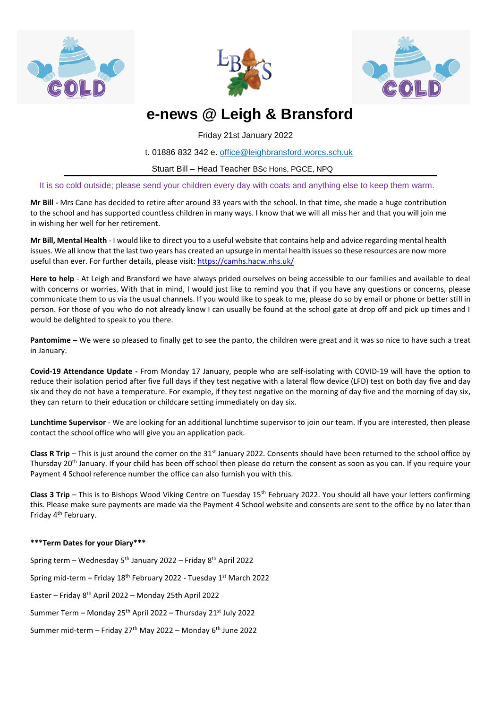





# **e-news @ Leigh & Bransford**

Friday 21st January 2022

t. 01886 832 342 e. [office@leighbransford.worcs.sch.uk](mailto:office@leighbransford.worcs.sch.uk)

Stuart Bill – Head Teacher BSc Hons, PGCE, NPQ

It is so cold outside; please send your children every day with coats and anything else to keep them warm.

**Mr Bill -** Mrs Cane has decided to retire after around 33 years with the school. In that time, she made a huge contribution to the school and has supported countless children in many ways. I know that we will all miss her and that you will join me in wishing her well for her retirement.

**Mr Bill, Mental Health** - I would like to direct you to a useful website that contains help and advice regarding mental health issues. We all know that the last two years has created an upsurge in mental health issues so these resources are now more useful than ever. For further details, please visit: <https://camhs.hacw.nhs.uk/>

**Here to help** - At Leigh and Bransford we have always prided ourselves on being accessible to our families and available to deal with concerns or worries. With that in mind, I would just like to remind you that if you have any questions or concerns, please communicate them to us via the usual channels. If you would like to speak to me, please do so by email or phone or better still in person. For those of you who do not already know I can usually be found at the school gate at drop off and pick up times and I would be delighted to speak to you there.

**Pantomime –** We were so pleased to finally get to see the panto, the children were great and it was so nice to have such a treat in January.

**Covid-19 Attendance Update -** From Monday 17 January, people who are self-isolating with COVID-19 will have the option to reduce their isolation period after five full days if they test negative with a lateral flow device (LFD) test on both day five and day six and they do not have a temperature. For example, if they test negative on the morning of day five and the morning of day six, they can return to their education or childcare setting immediately on day six.

**Lunchtime Supervisor** - We are looking for an additional lunchtime supervisor to join our team. If you are interested, then please contact the school office who will give you an application pack.

**Class R Trip** – This is just around the corner on the 31<sup>st</sup> January 2022. Consents should have been returned to the school office by Thursday 20<sup>th</sup> January. If your child has been off school then please do return the consent as soon as you can. If you require your Payment 4 School reference number the office can also furnish you with this.

Class 3 Trip – This is to Bishops Wood Viking Centre on Tuesday 15<sup>th</sup> February 2022. You should all have your letters confirming this. Please make sure payments are made via the Payment 4 School website and consents are sent to the office by no later than Friday 4<sup>th</sup> February.

## **\*\*\*Term Dates for your Diary\*\*\***

Spring term – Wednesday 5th January 2022 – Friday 8th April 2022 Spring mid-term – Friday  $18<sup>th</sup>$  February 2022 - Tuesday  $1<sup>st</sup>$  March 2022 Easter – Friday 8th April 2022 – Monday 25th April 2022 Summer Term – Monday 25th April 2022 – Thursday 21st July 2022 Summer mid-term – Friday 27<sup>th</sup> May 2022 – Monday  $6<sup>th</sup>$  June 2022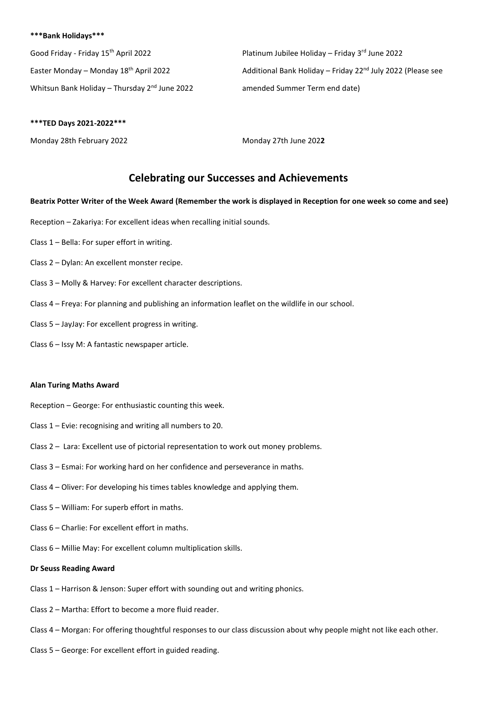#### **\*\*\*Bank Holidays\*\*\***

Good Friday - Friday 15<sup>th</sup> April 2022 **Platinum Jubilee Holiday – Friday 3<sup>rd</sup> June 2022** Whitsun Bank Holiday – Thursday 2<sup>nd</sup> June 2022 amended Summer Term end date)

Easter Monday – Monday 18<sup>th</sup> April 2022 **Additional Bank Holiday – Friday 22<sup>nd</sup> July 2022 (Please see** 

#### **\*\*\*TED Days 2021-2022\*\*\***

Monday 28th February 2022 Monday 27th June 202**2**

## **Celebrating our Successes and Achievements**

#### **Beatrix Potter Writer of the Week Award (Remember the work is displayed in Reception for one week so come and see)**

- Reception Zakariya: For excellent ideas when recalling initial sounds.
- Class 1 Bella: For super effort in writing.
- Class 2 Dylan: An excellent monster recipe.
- Class 3 Molly & Harvey: For excellent character descriptions.
- Class 4 Freya: For planning and publishing an information leaflet on the wildlife in our school.
- Class 5 JayJay: For excellent progress in writing.
- Class 6 Issy M: A fantastic newspaper article.

#### **Alan Turing Maths Award**

- Reception George: For enthusiastic counting this week.
- Class 1 Evie: recognising and writing all numbers to 20.
- Class 2 Lara: Excellent use of pictorial representation to work out money problems.
- Class 3 Esmai: For working hard on her confidence and perseverance in maths.
- Class 4 Oliver: For developing his times tables knowledge and applying them.
- Class 5 William: For superb effort in maths.
- Class 6 Charlie: For excellent effort in maths.
- Class 6 Millie May: For excellent column multiplication skills.

#### **Dr Seuss Reading Award**

- Class 1 Harrison & Jenson: Super effort with sounding out and writing phonics.
- Class 2 Martha: Effort to become a more fluid reader.
- Class 4 Morgan: For offering thoughtful responses to our class discussion about why people might not like each other.
- Class 5 George: For excellent effort in guided reading.